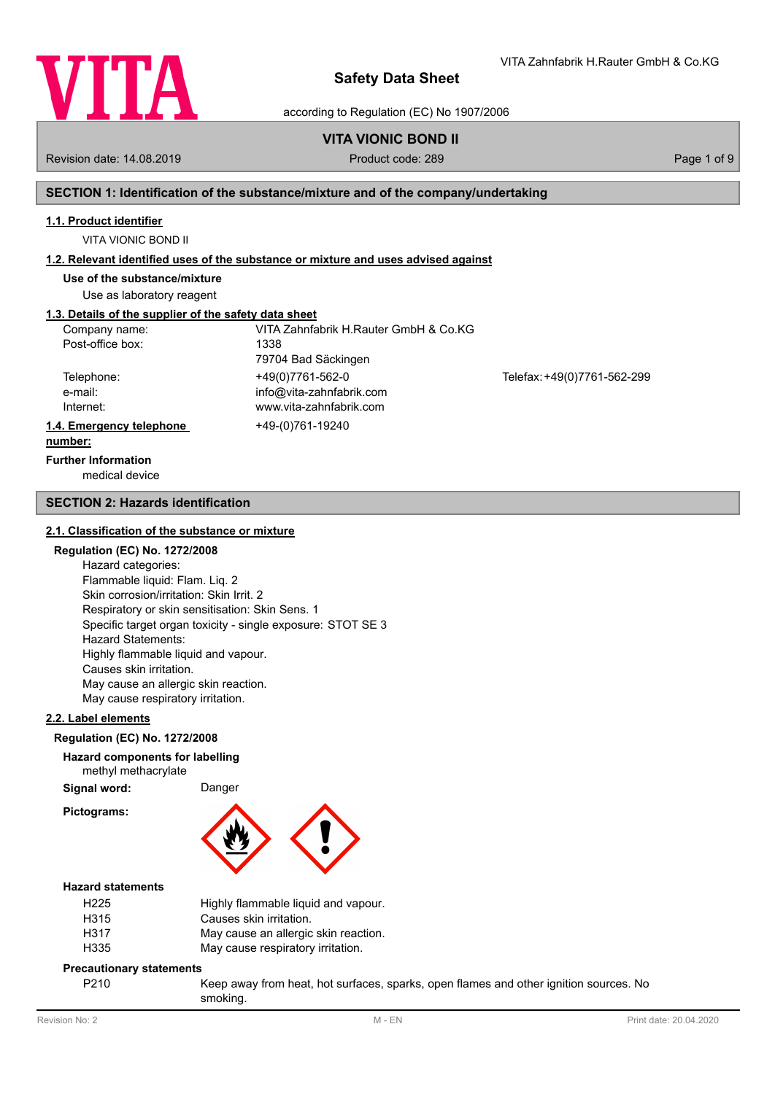

VITA Zahnfabrik H.Rauter GmbH & Co.KG

according to Regulation (EC) No 1907/2006

## **VITA VIONIC BOND II**

Revision date: 14.08.2019 **Product code: 289** Product code: 289 **Page 1 of 9** Page 1 of 9

## **SECTION 1: Identification of the substance/mixture and of the company/undertaking**

#### **1.1. Product identifier**

VITA VIONIC BOND II

### **1.2. Relevant identified uses of the substance or mixture and uses advised against**

**Use of the substance/mixture**

Use as laboratory reagent

## **1.3. Details of the supplier of the safety data sheet**

| Company name:            | VITA Zahnfabrik H.Rauter GmbH & Co.KG |                             |
|--------------------------|---------------------------------------|-----------------------------|
| Post-office box:         | 1338                                  |                             |
|                          | 79704 Bad Säckingen                   |                             |
| Telephone:               | +49(0)7761-562-0                      | Telefax: +49(0)7761-562-299 |
| e-mail:                  | info@vita-zahnfabrik.com              |                             |
| Internet:                | www.vita-zahnfabrik.com               |                             |
| 1.4. Emergency telephone | +49-(0)761-19240                      |                             |
| number:                  |                                       |                             |

# **Further Information**

medical device

### **SECTION 2: Hazards identification**

#### **2.1. Classification of the substance or mixture**

## **Regulation (EC) No. 1272/2008**

Hazard categories: Flammable liquid: Flam. Liq. 2 Skin corrosion/irritation: Skin Irrit. 2 Respiratory or skin sensitisation: Skin Sens. 1 Specific target organ toxicity - single exposure: STOT SE 3 Hazard Statements: Highly flammable liquid and vapour. Causes skin irritation. May cause an allergic skin reaction. May cause respiratory irritation.

### **2.2. Label elements**

#### **Regulation (EC) No. 1272/2008**

# **Hazard components for labelling**

methyl methacrylate

Signal word: Danger

**Pictograms:**



## **Hazard statements**

| H <sub>225</sub> | Highly flammable liquid and vapour.  |
|------------------|--------------------------------------|
| H315             | Causes skin irritation.              |
| H317             | May cause an allergic skin reaction. |
| H335             | May cause respiratory irritation.    |

### **Precautionary statements**

P210 Keep away from heat, hot surfaces, sparks, open flames and other ignition sources. No smoking.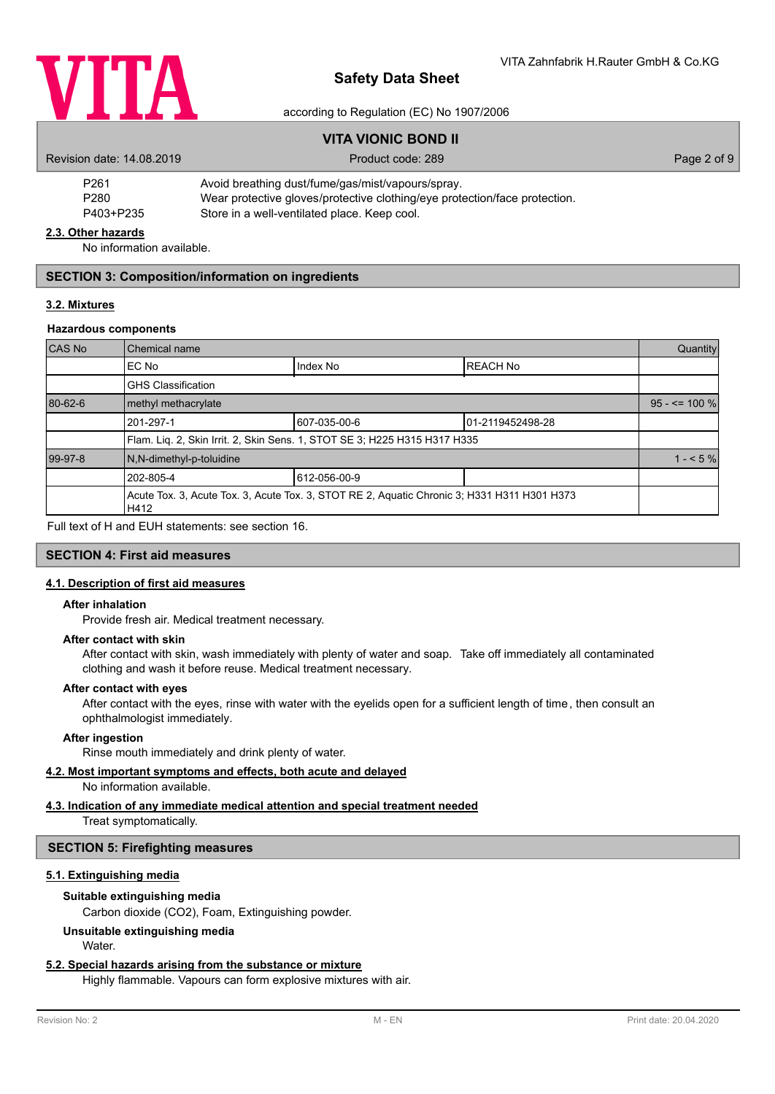

### according to Regulation (EC) No 1907/2006

|                                                                                                | <b>VITA VIONIC BOND II</b>                        |             |
|------------------------------------------------------------------------------------------------|---------------------------------------------------|-------------|
| Revision date: 14.08.2019                                                                      | Product code: 289                                 | Page 2 of 9 |
| P <sub>261</sub>                                                                               | Avoid breathing dust/fume/gas/mist/vapours/spray. |             |
| Wear protective gloves/protective clothing/eye protection/face protection.<br>P <sub>280</sub> |                                                   |             |
| P403+P235                                                                                      | Store in a well-ventilated place. Keep cool.      |             |

#### **2.3. Other hazards**

No information available.

### **SECTION 3: Composition/information on ingredients**

## **3.2. Mixtures**

### **Hazardous components**

| CAS No  | Chemical name             |                                                                                             |                  | Quantity          |
|---------|---------------------------|---------------------------------------------------------------------------------------------|------------------|-------------------|
|         | EC No                     | Index No                                                                                    | <b>REACH No</b>  |                   |
|         | <b>GHS Classification</b> |                                                                                             |                  |                   |
| 80-62-6 | methyl methacrylate       |                                                                                             |                  | $95 - 5 = 100 \%$ |
|         | 201-297-1                 | 607-035-00-6                                                                                | 01-2119452498-28 |                   |
|         |                           | Flam. Liq. 2, Skin Irrit. 2, Skin Sens. 1, STOT SE 3; H225 H315 H317 H335                   |                  |                   |
| 99-97-8 | N,N-dimethyl-p-toluidine  |                                                                                             |                  | $1 - 5\%$         |
|         | 202-805-4                 | 612-056-00-9                                                                                |                  |                   |
|         | H412                      | Acute Tox. 3, Acute Tox. 3, Acute Tox. 3, STOT RE 2, Aquatic Chronic 3; H331 H311 H301 H373 |                  |                   |

Full text of H and EUH statements: see section 16.

## **SECTION 4: First aid measures**

#### **4.1. Description of first aid measures**

#### **After inhalation**

Provide fresh air. Medical treatment necessary.

#### **After contact with skin**

After contact with skin, wash immediately with plenty of water and soap. Take off immediately all contaminated clothing and wash it before reuse. Medical treatment necessary.

#### **After contact with eyes**

After contact with the eyes, rinse with water with the eyelids open for a sufficient length of time, then consult an ophthalmologist immediately.

## **After ingestion**

Rinse mouth immediately and drink plenty of water.

## **4.2. Most important symptoms and effects, both acute and delayed**

No information available.

# **4.3. Indication of any immediate medical attention and special treatment needed**

Treat symptomatically.

## **SECTION 5: Firefighting measures**

## **5.1. Extinguishing media**

## **Suitable extinguishing media**

Carbon dioxide (CO2), Foam, Extinguishing powder.

## **Unsuitable extinguishing media**

Water.

## **5.2. Special hazards arising from the substance or mixture**

Highly flammable. Vapours can form explosive mixtures with air.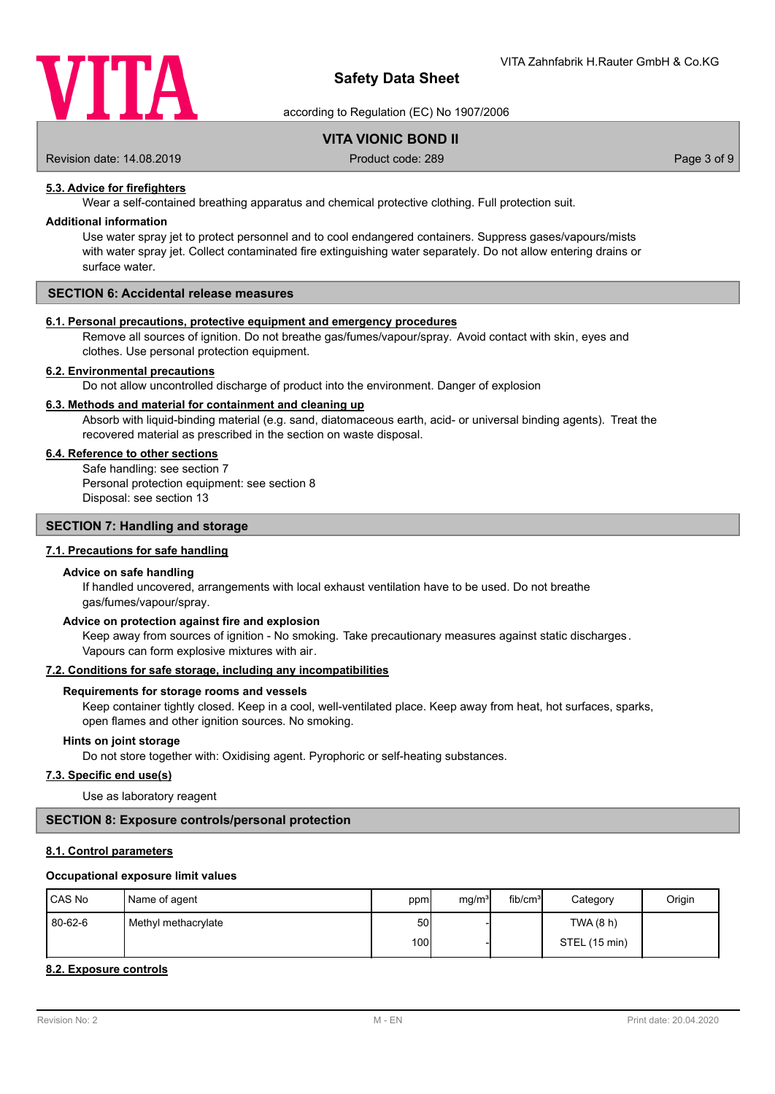

according to Regulation (EC) No 1907/2006

## **VITA VIONIC BOND II**

Revision date: 14.08.2019 **Product code: 289** Product code: 289 **Page 3 of 9** Page 3 of 9

**5.3. Advice for firefighters**

Wear a self-contained breathing apparatus and chemical protective clothing. Full protection suit.

#### **Additional information**

Use water spray jet to protect personnel and to cool endangered containers. Suppress gases/vapours/mists with water spray jet. Collect contaminated fire extinguishing water separately. Do not allow entering drains or surface water.

## **SECTION 6: Accidental release measures**

### **6.1. Personal precautions, protective equipment and emergency procedures**

Remove all sources of ignition. Do not breathe gas/fumes/vapour/spray. Avoid contact with skin, eyes and clothes. Use personal protection equipment.

## **6.2. Environmental precautions**

Do not allow uncontrolled discharge of product into the environment. Danger of explosion

## **6.3. Methods and material for containment and cleaning up**

Absorb with liquid-binding material (e.g. sand, diatomaceous earth, acid- or universal binding agents). Treat the recovered material as prescribed in the section on waste disposal.

## **6.4. Reference to other sections**

Safe handling: see section 7 Personal protection equipment: see section 8 Disposal: see section 13

## **SECTION 7: Handling and storage**

## **7.1. Precautions for safe handling**

#### **Advice on safe handling**

If handled uncovered, arrangements with local exhaust ventilation have to be used. Do not breathe gas/fumes/vapour/spray.

#### **Advice on protection against fire and explosion**

Keep away from sources of ignition - No smoking. Take precautionary measures against static discharges. Vapours can form explosive mixtures with air.

#### **7.2. Conditions for safe storage, including any incompatibilities**

#### **Requirements for storage rooms and vessels**

Keep container tightly closed. Keep in a cool, well-ventilated place. Keep away from heat, hot surfaces, sparks, open flames and other ignition sources. No smoking.

#### **Hints on joint storage**

Do not store together with: Oxidising agent. Pyrophoric or self-heating substances.

#### **7.3. Specific end use(s)**

Use as laboratory reagent

### **SECTION 8: Exposure controls/personal protection**

## **8.1. Control parameters**

#### **Occupational exposure limit values**

| CAS No  | Name of agent       | ppm             | mg/m <sup>3</sup> | fib/cm <sup>3</sup> | Category      | Origin |
|---------|---------------------|-----------------|-------------------|---------------------|---------------|--------|
| 80-62-6 | Methyl methacrylate | 50 <sub>l</sub> |                   |                     | TWA (8 h)     |        |
|         |                     | 100I            |                   |                     | STEL (15 min) |        |

### **8.2. Exposure controls**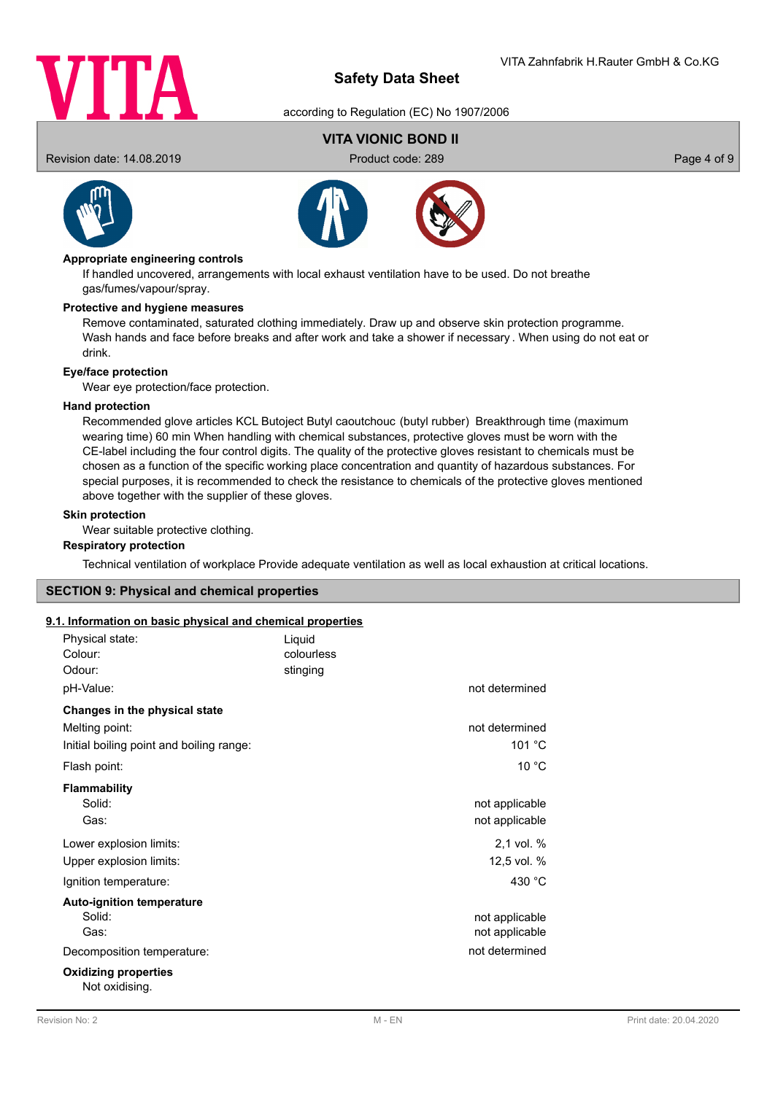

according to Regulation (EC) No 1907/2006

# **VITA VIONIC BOND II**

Revision date: 14.08.2019 **Product code: 289** Product code: 289 **Page 4 of 9** Page 4 of 9





## **Appropriate engineering controls**

If handled uncovered, arrangements with local exhaust ventilation have to be used. Do not breathe gas/fumes/vapour/spray.

#### **Protective and hygiene measures**

Remove contaminated, saturated clothing immediately. Draw up and observe skin protection programme. Wash hands and face before breaks and after work and take a shower if necessary . When using do not eat or drink.

## **Eye/face protection**

Wear eye protection/face protection.

#### **Hand protection**

Recommended glove articles KCL Butoject Butyl caoutchouc (butyl rubber) Breakthrough time (maximum wearing time) 60 min When handling with chemical substances, protective gloves must be worn with the CE-label including the four control digits. The quality of the protective gloves resistant to chemicals must be chosen as a function of the specific working place concentration and quantity of hazardous substances. For special purposes, it is recommended to check the resistance to chemicals of the protective gloves mentioned above together with the supplier of these gloves.

## **Skin protection**

Wear suitable protective clothing.

#### **Respiratory protection**

Technical ventilation of workplace Provide adequate ventilation as well as local exhaustion at critical locations.

## **SECTION 9: Physical and chemical properties**

## **9.1. Information on basic physical and chemical properties**

| Physical state:<br>Colour:<br>Odour:<br>pH-Value:                                           | Liquid<br>colourless<br>stinging | not determined                   |
|---------------------------------------------------------------------------------------------|----------------------------------|----------------------------------|
| Changes in the physical state<br>Melting point:<br>Initial boiling point and boiling range: |                                  | not determined<br>101 °C         |
| Flash point:                                                                                |                                  | 10 °C                            |
| <b>Flammability</b><br>Solid:<br>Gas:                                                       |                                  | not applicable<br>not applicable |
| Lower explosion limits:<br>Upper explosion limits:                                          |                                  | 2,1 vol. %<br>12,5 vol. %        |
| Ignition temperature:                                                                       |                                  | 430 $^{\circ}$ C                 |
| <b>Auto-ignition temperature</b><br>Solid:<br>Gas:                                          |                                  | not applicable<br>not applicable |
| Decomposition temperature:                                                                  |                                  | not determined                   |
| <b>Oxidizing properties</b><br>Not oxidising.                                               |                                  |                                  |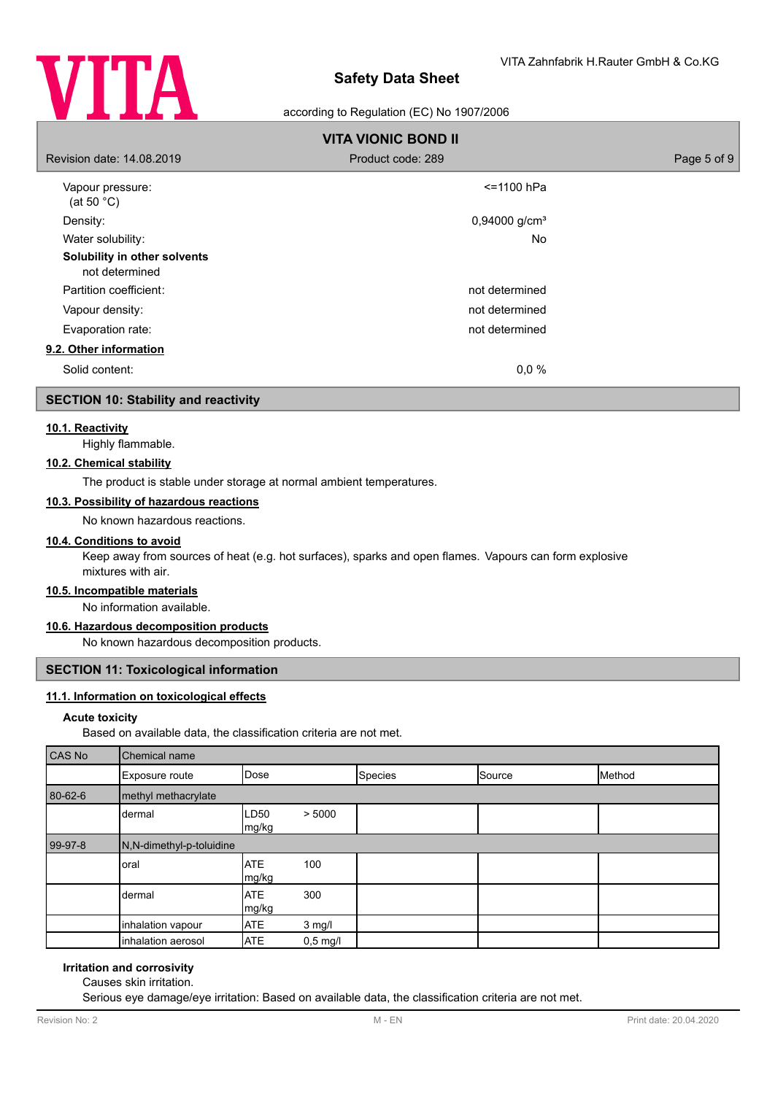

## according to Regulation (EC) No 1907/2006

|                                                | <b>VITA VIONIC BOND II</b>  |             |
|------------------------------------------------|-----------------------------|-------------|
| Revision date: 14,08,2019                      | Product code: 289           | Page 5 of 9 |
| Vapour pressure:<br>(at 50 $^{\circ}$ C)       | $\le$ = 1100 hPa            |             |
| Density:                                       | $0,94000$ g/cm <sup>3</sup> |             |
| Water solubility:                              | No                          |             |
| Solubility in other solvents<br>not determined |                             |             |
| Partition coefficient:                         | not determined              |             |
| Vapour density:                                | not determined              |             |
| Evaporation rate:                              | not determined              |             |
| 9.2. Other information                         |                             |             |
| Solid content:                                 | $0.0 \%$                    |             |

## **SECTION 10: Stability and reactivity**

## **10.1. Reactivity**

Highly flammable.

## **10.2. Chemical stability**

The product is stable under storage at normal ambient temperatures.

## **10.3. Possibility of hazardous reactions**

No known hazardous reactions.

## **10.4. Conditions to avoid**

Keep away from sources of heat (e.g. hot surfaces), sparks and open flames. Vapours can form explosive mixtures with air.

# **10.5. Incompatible materials**

No information available.

## **10.6. Hazardous decomposition products**

No known hazardous decomposition products.

### **SECTION 11: Toxicological information**

## **11.1. Information on toxicological effects**

#### **Acute toxicity**

Based on available data, the classification criteria are not met.

| CAS No  | Chemical name            |                     |            |         |        |        |
|---------|--------------------------|---------------------|------------|---------|--------|--------|
|         | Exposure route           | Dose                |            | Species | Source | Method |
| 80-62-6 | methyl methacrylate      |                     |            |         |        |        |
|         | dermal                   | LD50<br>mg/kg       | > 5000     |         |        |        |
| 99-97-8 | N,N-dimethyl-p-toluidine |                     |            |         |        |        |
|         | oral                     | <b>ATE</b><br>mg/kg | 100        |         |        |        |
|         | dermal                   | <b>ATE</b><br>mg/kg | 300        |         |        |        |
|         | inhalation vapour        | <b>ATE</b>          | $3$ mg/l   |         |        |        |
|         | inhalation aerosol       | <b>ATE</b>          | $0,5$ mg/l |         |        |        |

## **Irritation and corrosivity**

Causes skin irritation.

Serious eye damage/eye irritation: Based on available data, the classification criteria are not met.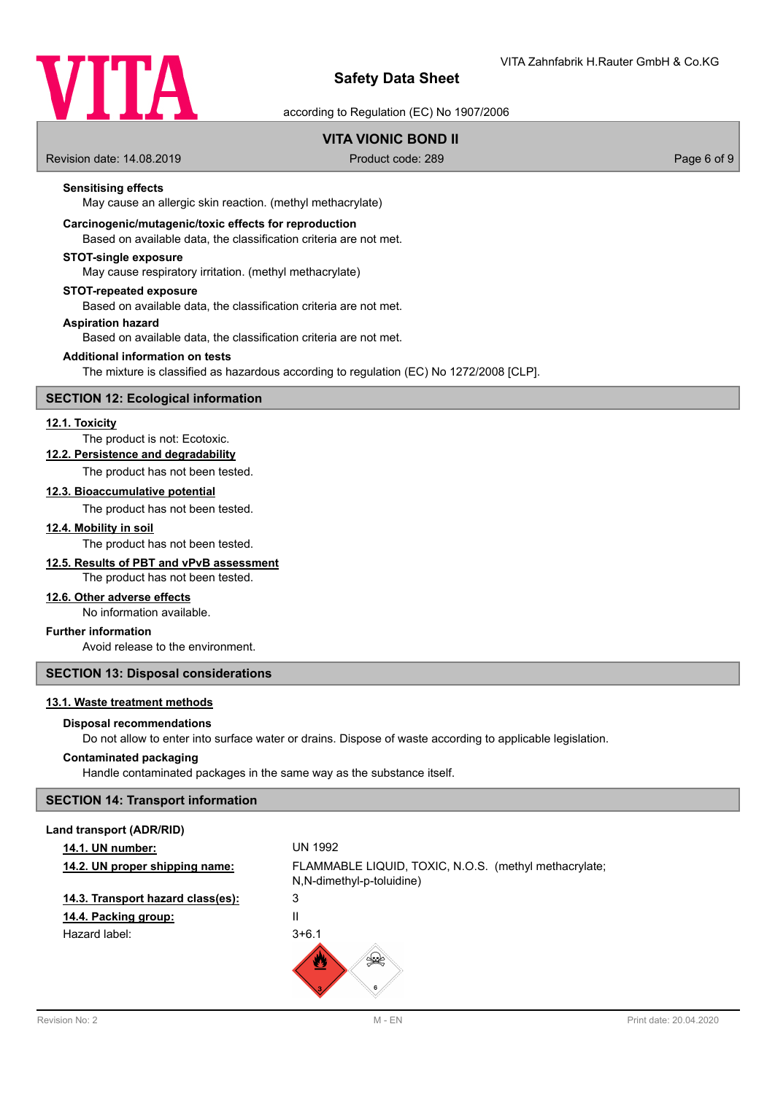

according to Regulation (EC) No 1907/2006

## **VITA VIONIC BOND II**

Revision date: 14.08.2019 **Product code: 289** Product code: 289 **Page 6 of 9** Page 6 of 9

## **Sensitising effects**

May cause an allergic skin reaction. (methyl methacrylate)

## **Carcinogenic/mutagenic/toxic effects for reproduction**

Based on available data, the classification criteria are not met.

#### **STOT-single exposure**

May cause respiratory irritation. (methyl methacrylate)

#### **STOT-repeated exposure**

Based on available data, the classification criteria are not met.

#### **Aspiration hazard**

Based on available data, the classification criteria are not met.

#### **Additional information on tests**

The mixture is classified as hazardous according to regulation (EC) No 1272/2008 [CLP].

## **SECTION 12: Ecological information**

## **12.1. Toxicity**

The product is not: Ecotoxic.

**12.2. Persistence and degradability**

The product has not been tested.

#### **12.3. Bioaccumulative potential**

The product has not been tested.

#### **12.4. Mobility in soil**

The product has not been tested.

### **12.5. Results of PBT and vPvB assessment**

The product has not been tested.

## **12.6. Other adverse effects**

No information available.

## **Further information**

Avoid release to the environment.

## **SECTION 13: Disposal considerations**

#### **13.1. Waste treatment methods**

#### **Disposal recommendations**

Do not allow to enter into surface water or drains. Dispose of waste according to applicable legislation.

#### **Contaminated packaging**

Handle contaminated packages in the same way as the substance itself.

## **SECTION 14: Transport information**

| Land transport (ADR/RID)          |                                                                                    |
|-----------------------------------|------------------------------------------------------------------------------------|
| <b>14.1. UN number:</b>           | <b>UN 1992</b>                                                                     |
| 14.2. UN proper shipping name:    | FLAMMABLE LIQUID, TOXIC, N.O.S. (methyl methacrylate;<br>N,N-dimethyl-p-toluidine) |
| 14.3. Transport hazard class(es): | 3                                                                                  |
| 14.4. Packing group:              | Ш                                                                                  |
| Hazard label:                     | $3+6.1$                                                                            |
|                                   | ⋓<br>6                                                                             |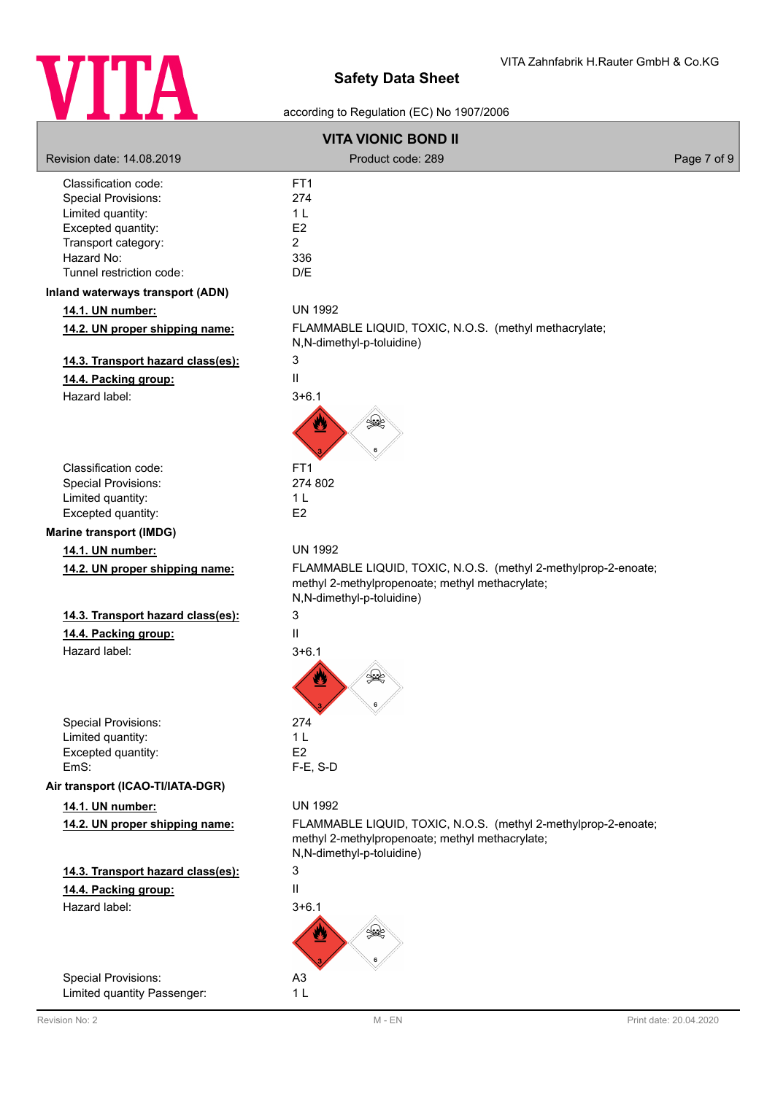

according to Regulation (EC) No 1907/2006

|                                   | <b>VITA VIONIC BOND II</b>                                                                                                                     |             |
|-----------------------------------|------------------------------------------------------------------------------------------------------------------------------------------------|-------------|
| Revision date: 14.08.2019         | Product code: 289                                                                                                                              | Page 7 of 9 |
| Classification code:              | FT <sub>1</sub>                                                                                                                                |             |
| <b>Special Provisions:</b>        | 274                                                                                                                                            |             |
| Limited quantity:                 | 1 <sub>L</sub>                                                                                                                                 |             |
| Excepted quantity:                | E <sub>2</sub><br>$\overline{2}$                                                                                                               |             |
| Transport category:<br>Hazard No: | 336                                                                                                                                            |             |
| Tunnel restriction code:          | D/E                                                                                                                                            |             |
| Inland waterways transport (ADN)  |                                                                                                                                                |             |
| 14.1. UN number:                  | <b>UN 1992</b>                                                                                                                                 |             |
| 14.2. UN proper shipping name:    | FLAMMABLE LIQUID, TOXIC, N.O.S. (methyl methacrylate;<br>N,N-dimethyl-p-toluidine)                                                             |             |
| 14.3. Transport hazard class(es): | 3                                                                                                                                              |             |
| 14.4. Packing group:              | II                                                                                                                                             |             |
| Hazard label:                     | $3 + 6.1$                                                                                                                                      |             |
|                                   | ں کے                                                                                                                                           |             |
| Classification code:              | FT <sub>1</sub>                                                                                                                                |             |
| Special Provisions:               | 274 802                                                                                                                                        |             |
| Limited quantity:                 | 1 <sub>L</sub>                                                                                                                                 |             |
| Excepted quantity:                | E <sub>2</sub>                                                                                                                                 |             |
| <b>Marine transport (IMDG)</b>    |                                                                                                                                                |             |
| 14.1. UN number:                  | <b>UN 1992</b>                                                                                                                                 |             |
| 14.2. UN proper shipping name:    | FLAMMABLE LIQUID, TOXIC, N.O.S. (methyl 2-methylprop-2-enoate;<br>methyl 2-methylpropenoate; methyl methacrylate;<br>N,N-dimethyl-p-toluidine) |             |
| 14.3. Transport hazard class(es): | 3                                                                                                                                              |             |
| 14.4. Packing group:              | $\mathbf{H}$                                                                                                                                   |             |
| Hazard label:                     | $3 + 6.1$                                                                                                                                      |             |
|                                   | ں<br>♨                                                                                                                                         |             |
| <b>Special Provisions:</b>        | 274                                                                                                                                            |             |
| Limited quantity:                 | 1 <sub>L</sub>                                                                                                                                 |             |
| Excepted quantity:                | E <sub>2</sub>                                                                                                                                 |             |
| EmS:                              | $F-E$ , S-D                                                                                                                                    |             |
| Air transport (ICAO-TI/IATA-DGR)  |                                                                                                                                                |             |
| 14.1. UN number:                  | <b>UN 1992</b>                                                                                                                                 |             |
| 14.2. UN proper shipping name:    | FLAMMABLE LIQUID, TOXIC, N.O.S. (methyl 2-methylprop-2-enoate;<br>methyl 2-methylpropenoate; methyl methacrylate;<br>N,N-dimethyl-p-toluidine) |             |
| 14.3. Transport hazard class(es): | 3                                                                                                                                              |             |
| 14.4. Packing group:              | II                                                                                                                                             |             |
| Hazard label:                     | $3 + 6.1$                                                                                                                                      |             |
|                                   | ₩<br>♨                                                                                                                                         |             |
| <b>Special Provisions:</b>        | A <sub>3</sub>                                                                                                                                 |             |
| Limited quantity Passenger:       | 1 <sub>L</sub>                                                                                                                                 |             |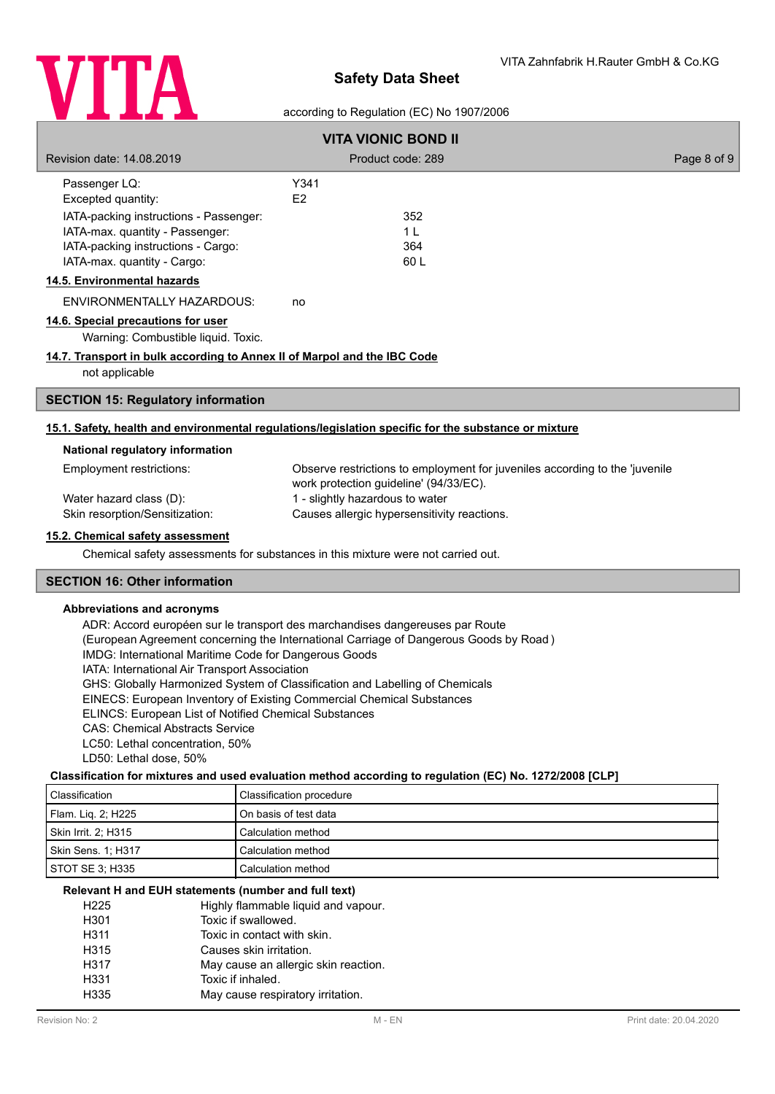

## according to Regulation (EC) No 1907/2006

|                                                                          | <b>VITA VIONIC BOND II</b>                                                                           |             |
|--------------------------------------------------------------------------|------------------------------------------------------------------------------------------------------|-------------|
| Revision date: 14.08.2019                                                | Product code: 289                                                                                    | Page 8 of 9 |
| Passenger LQ:                                                            | Y341                                                                                                 |             |
| Excepted quantity:                                                       | E <sub>2</sub>                                                                                       |             |
| IATA-packing instructions - Passenger:                                   | 352                                                                                                  |             |
| IATA-max. quantity - Passenger:                                          | 1 <sup>L</sup>                                                                                       |             |
| IATA-packing instructions - Cargo:                                       | 364                                                                                                  |             |
| IATA-max. quantity - Cargo:                                              | 60L                                                                                                  |             |
| 14.5. Environmental hazards                                              |                                                                                                      |             |
| <b>ENVIRONMENTALLY HAZARDOUS:</b>                                        | no                                                                                                   |             |
| 14.6. Special precautions for user                                       |                                                                                                      |             |
| Warning: Combustible liquid. Toxic.                                      |                                                                                                      |             |
| 14.7. Transport in bulk according to Annex II of Marpol and the IBC Code |                                                                                                      |             |
| not applicable                                                           |                                                                                                      |             |
| <b>SECTION 15: Regulatory information</b>                                |                                                                                                      |             |
|                                                                          | 15.1. Safety, health and environmental regulations/legislation specific for the substance or mixture |             |
| National regulatory information                                          |                                                                                                      |             |
| Employment restrictions:                                                 | Observe restrictions to employment for juveniles according to the 'juvenile                          |             |
|                                                                          | work protection guideline' (94/33/EC).                                                               |             |
| Water hazard class (D):                                                  | 1 - slightly hazardous to water                                                                      |             |
| Skin resorption/Sensitization:                                           | Causes allergic hypersensitivity reactions.                                                          |             |
| 15.2. Chemical safety assessment                                         |                                                                                                      |             |
|                                                                          | Chemical safety assessments for substances in this mixture were not carried out.                     |             |
| <b>SECTION 16: Other information</b>                                     |                                                                                                      |             |
| <b>Abbreviations and acronyms</b>                                        |                                                                                                      |             |

ADR: Accord européen sur le transport des marchandises dangereuses par Route (European Agreement concerning the International Carriage of Dangerous Goods by Road ) IMDG: International Maritime Code for Dangerous Goods IATA: International Air Transport Association GHS: Globally Harmonized System of Classification and Labelling of Chemicals EINECS: European Inventory of Existing Commercial Chemical Substances ELINCS: European List of Notified Chemical Substances CAS: Chemical Abstracts Service LC50: Lethal concentration, 50% LD50: Lethal dose, 50%

### **Classification for mixtures and used evaluation method according to regulation (EC) No. 1272/2008 [CLP]**

| Classification      | Classification procedure |
|---------------------|--------------------------|
| Flam. Lig. 2: H225  | l On basis of test data  |
| Skin Irrit. 2; H315 | Calculation method       |
| Skin Sens. 1: H317  | l Calculation method     |
| STOT SE 3: H335     | Calculation method       |

#### **Relevant H and EUH statements (number and full text)**

| H <sub>225</sub> | Highly flammable liquid and vapour.  |
|------------------|--------------------------------------|
| H301             | Toxic if swallowed.                  |
| H <sub>311</sub> | Toxic in contact with skin.          |
| H315             | Causes skin irritation.              |
| H317             | May cause an allergic skin reaction. |
| H331             | Toxic if inhaled.                    |
| H335             | May cause respiratory irritation.    |
|                  |                                      |